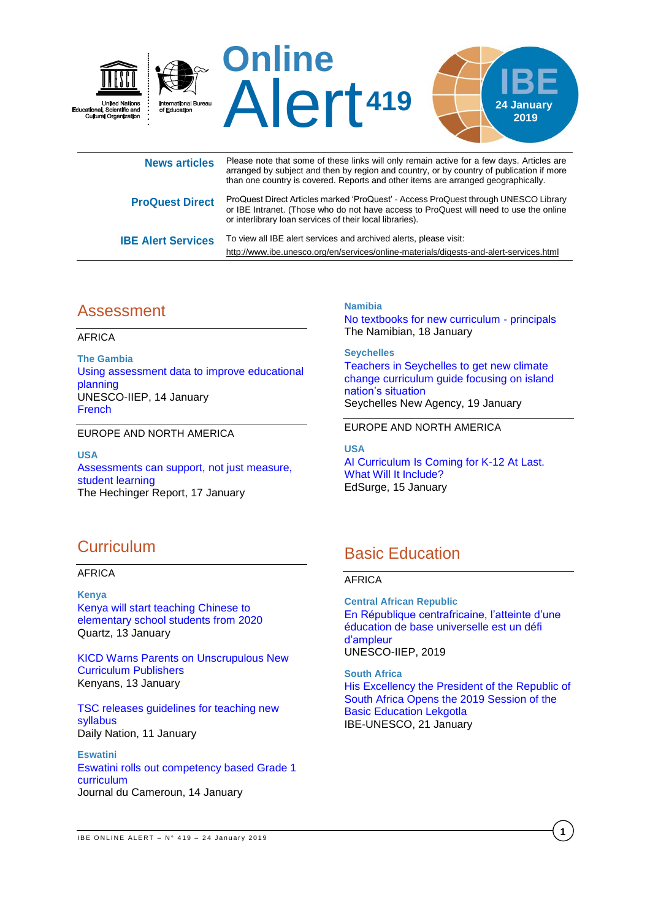

| <b>NGWS ALUGS</b>         | arranged by subject and then by region and country, or by country of publication if more<br>than one country is covered. Reports and other items are arranged geographically.                                                             |
|---------------------------|-------------------------------------------------------------------------------------------------------------------------------------------------------------------------------------------------------------------------------------------|
| <b>ProQuest Direct</b>    | ProQuest Direct Articles marked 'ProQuest' - Access ProQuest through UNESCO Library<br>or IBE Intranet. (Those who do not have access to ProQuest will need to use the online<br>or interlibrary loan services of their local libraries). |
| <b>IBE Alert Services</b> | To view all IBE alert services and archived alerts, please visit:<br>http://www.ibe.unesco.org/en/services/online-materials/digests-and-alert-services.html                                                                               |

# Assessment

AFRICA

**The Gambia** [Using assessment data to improve educational](http://www.iiep.unesco.org/en/using-assessment-data-improve-educational-planning-4815)  [planning](http://www.iiep.unesco.org/en/using-assessment-data-improve-educational-planning-4815) UNESCO-IIEP, 14 January [French](http://www.iiep.unesco.org/fr/utiliser-les-donnees-devaluations-des-apprentissages-pour-ameliorer-la-planification-de-leducation)

EUROPE AND NORTH AMERICA

**USA** [Assessments can support, not just measure,](https://hechingerreport.org/assessments-can-support-not-just-measure-student-learning/)  [student learning](https://hechingerreport.org/assessments-can-support-not-just-measure-student-learning/) The Hechinger Report, 17 January

**Namibia**

[No textbooks for new curriculum -](https://www.namibian.com.na/74770/read/No-textbooks-for-new-curriculum-%E2%80%93-principals) principals The Namibian, 18 January

**Seychelles** [Teachers in Seychelles to get new climate](http://www.seychellesnewsagency.com/articles/10367/Teachers+in+Seychelles+to+get+new+climate+change+curriculum+guide+focusing+on+island+nation%27s+situation)  [change curriculum guide focusing on island](http://www.seychellesnewsagency.com/articles/10367/Teachers+in+Seychelles+to+get+new+climate+change+curriculum+guide+focusing+on+island+nation%27s+situation)  [nation's situation](http://www.seychellesnewsagency.com/articles/10367/Teachers+in+Seychelles+to+get+new+climate+change+curriculum+guide+focusing+on+island+nation%27s+situation) Seychelles New Agency, 19 January

EUROPE AND NORTH AMERICA

**USA** [AI Curriculum Is Coming for K-12 At Last.](https://www.edsurge.com/news/2019-01-15-ai-curriculum-is-coming-for-k-12-at-last-what-will-it-include)  [What Will It Include?](https://www.edsurge.com/news/2019-01-15-ai-curriculum-is-coming-for-k-12-at-last-what-will-it-include) EdSurge, 15 January

# **Curriculum**

AFRICA

**Kenya** Kenya will start [teaching Chinese to](https://qz.com/africa/1517681/kenya-to-teach-mandarin-chinese-in-primary-classrooms/)  [elementary school students from 2020](https://qz.com/africa/1517681/kenya-to-teach-mandarin-chinese-in-primary-classrooms/) Quartz, 13 January

[KICD Warns Parents on Unscrupulous New](https://www.kenyans.co.ke/news/35949-kicd-warns-parents-unscrupulous-new-curriculum-publishers)  [Curriculum Publishers](https://www.kenyans.co.ke/news/35949-kicd-warns-parents-unscrupulous-new-curriculum-publishers) Kenyans, 13 January

[TSC releases guidelines for teaching new](https://www.nation.co.ke/news/education/TSC-releases-guidelines-for-teaching-new-syllabus/2643604-4929724-gke6ecz/index.html)  [syllabus](https://www.nation.co.ke/news/education/TSC-releases-guidelines-for-teaching-new-syllabus/2643604-4929724-gke6ecz/index.html) Daily Nation, 11 January

**Eswatini** [Eswatini rolls out competency based Grade 1](https://www.journalducameroun.com/en/eswatini-rolls-out-competency-based-grade-1-curriculum/)  [curriculum](https://www.journalducameroun.com/en/eswatini-rolls-out-competency-based-grade-1-curriculum/) Journal du Cameroun, 14 January

# Basic Education

### AFRICA

**Central African Republic** [En République centrafricaine, l'atteinte d'une](https://unesdoc.unesco.org/ark:/48223/pf0000366490?posInSet=13&queryId=eebfdb3d-88e6-4f96-9b9a-263fac8800ed)  [éducation de base universelle est un défi](https://unesdoc.unesco.org/ark:/48223/pf0000366490?posInSet=13&queryId=eebfdb3d-88e6-4f96-9b9a-263fac8800ed)  [d'ampleur](https://unesdoc.unesco.org/ark:/48223/pf0000366490?posInSet=13&queryId=eebfdb3d-88e6-4f96-9b9a-263fac8800ed) UNESCO-IIEP, 2019

**South Africa** [His Excellency the President of the Republic of](http://www.ibe.unesco.org/en/news/his-excellency-president-republic-south-africa-opens-2019-session-basic-education-lekgotla)  [South Africa Opens the 2019 Session of the](http://www.ibe.unesco.org/en/news/his-excellency-president-republic-south-africa-opens-2019-session-basic-education-lekgotla)  [Basic Education Lekgotla](http://www.ibe.unesco.org/en/news/his-excellency-president-republic-south-africa-opens-2019-session-basic-education-lekgotla) IBE-UNESCO, 21 January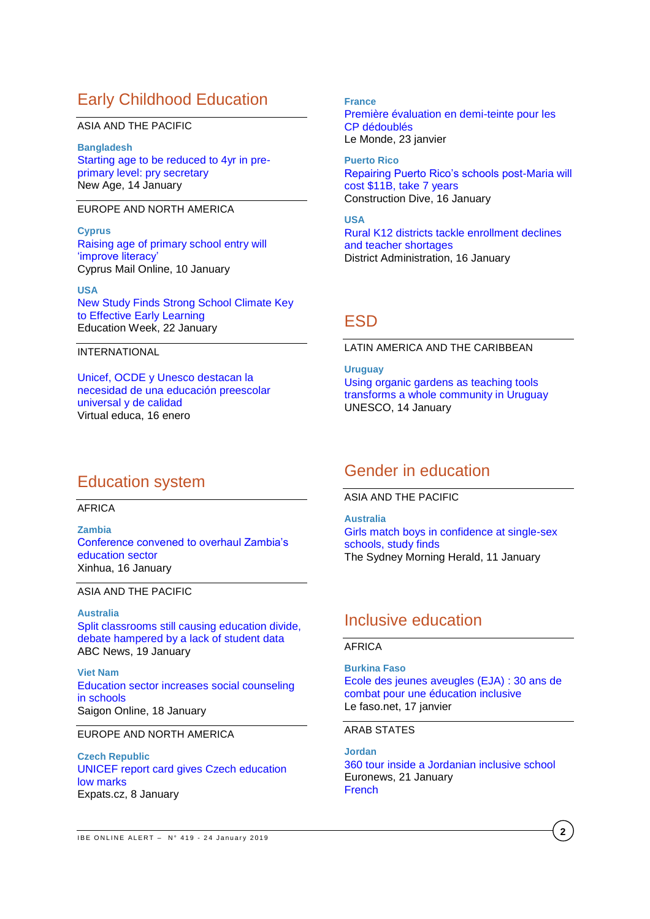# Early Childhood Education

#### ASIA AND THE PACIFIC

**Bangladesh** [Starting age to be reduced to 4yr in pre](http://www.newagebd.net/article/61744/starting-age-to-be-reduced-to-4yr-in-pre-primary-level-pry-secretary)[primary level: pry secretary](http://www.newagebd.net/article/61744/starting-age-to-be-reduced-to-4yr-in-pre-primary-level-pry-secretary) New Age, 14 January

### EUROPE AND NORTH AMERICA

**Cyprus** [Raising age of primary school entry will](https://cyprus-mail.com/2019/01/10/raising-age-of-primary-school-entry-will-improve-literacy/)  ['improve literacy'](https://cyprus-mail.com/2019/01/10/raising-age-of-primary-school-entry-will-improve-literacy/) Cyprus Mail Online, 10 January

**USA** [New Study Finds Strong School Climate Key](http://blogs.edweek.org/edweek/early_years/2019/01/new_study_finds_strong_school_climate_key_to_effective_early_learning.html?utm_source=dlvr.it&utm_medium=twitter)  [to Effective Early Learning](http://blogs.edweek.org/edweek/early_years/2019/01/new_study_finds_strong_school_climate_key_to_effective_early_learning.html?utm_source=dlvr.it&utm_medium=twitter) Education Week, 22 January

#### INTERNATIONAL

[Unicef, OCDE y Unesco destacan la](https://virtualeduca.org/mediacenter/unicef-ocde-y-unesco-destacan-la-necesidad-de-una-educacion-preescolar-universal-y-de-calidad/)  [necesidad de una educación preescolar](https://virtualeduca.org/mediacenter/unicef-ocde-y-unesco-destacan-la-necesidad-de-una-educacion-preescolar-universal-y-de-calidad/)  [universal y de calidad](https://virtualeduca.org/mediacenter/unicef-ocde-y-unesco-destacan-la-necesidad-de-una-educacion-preescolar-universal-y-de-calidad/) Virtual educa, 16 enero

#### **France**

[Première évaluation en demi-teinte pour les](https://www.lemonde.fr/societe/article/2019/01/23/premiere-evaluation-encourageante-pour-les-cp-dedoubles_5413434_3224.html)  [CP dédoublés](https://www.lemonde.fr/societe/article/2019/01/23/premiere-evaluation-encourageante-pour-les-cp-dedoubles_5413434_3224.html) Le Monde, 23 janvier

**Puerto Rico** [Repairing Puerto Rico's schools post-Maria will](https://www.constructiondive.com/news/repairing-puerto-ricos-schools-post-maria-will-cost-11b-take-7-years/546058/)  [cost \\$11B, take 7 years](https://www.constructiondive.com/news/repairing-puerto-ricos-schools-post-maria-will-cost-11b-take-7-years/546058/) Construction Dive, 16 January

**USA** [Rural K12 districts tackle enrollment declines](http://districtadministration.com/rural-k12-districts-tackle-enrollment-declines-and-teacher-shortages/)  [and teacher shortages](http://districtadministration.com/rural-k12-districts-tackle-enrollment-declines-and-teacher-shortages/) District Administration, 16 January

## **ESD**

LATIN AMERICA AND THE CARIBBEAN

**Uruguay** [Using organic gardens as teaching tools](https://en.unesco.org/news/using-organic-gardens-teaching-tools-transforms-whole-community-uruguay)  [transforms a whole community in Uruguay](https://en.unesco.org/news/using-organic-gardens-teaching-tools-transforms-whole-community-uruguay) UNESCO, 14 January

## Gender in education

ASIA AND THE PACIFIC

**Australia** [Girls match boys in confidence at single-sex](https://www.smh.com.au/education/girls-match-boys-in-confidence-at-single-sex-schools-study-finds-20190110-p50qno.html)  [schools, study finds](https://www.smh.com.au/education/girls-match-boys-in-confidence-at-single-sex-schools-study-finds-20190110-p50qno.html) The Sydney Morning Herald, 11 January

## Inclusive education

#### AFRICA

**Burkina Faso** [Ecole des jeunes aveugles \(EJA\)](http://lefaso.net/spip.php?article87553) : 30 ans de [combat pour une éducation inclusive](http://lefaso.net/spip.php?article87553) Le faso.net, 17 janvier

#### ARAB STATES

**Jordan** [360 tour inside a Jordanian inclusive school](https://www.euronews.com/2019/01/18/360-tour-inside-a-jordanian-inclusive-school)  Euronews, 21 January **[French](https://fr.euronews.com/2019/01/18/en-jordanie-une-ecole-inclusive-pour-les-eleves-handicapes-video-360)** 

# Education system

AFRICA

**Zambia** [Conference convened to overhaul Zambia's](http://www.xinhuanet.com/english/2019-01/16/c_137746438.htm)  [education sector](http://www.xinhuanet.com/english/2019-01/16/c_137746438.htm)  Xinhua, 16 January

ASIA AND THE PACIFIC

**Australia** [Split classrooms still causing education divide,](https://www.abc.net.au/news/2019-01-20/divide-over-split-classrooms-hampered-by-lack-of-data/10723492)  [debate hampered by a lack of student data](https://www.abc.net.au/news/2019-01-20/divide-over-split-classrooms-hampered-by-lack-of-data/10723492) ABC News, 19 January

**Viet Nam** [Education sector increases social counseling](http://sggpnews.org.vn/education/education-sector-increases-social-counseling-in-schools-79817.html)  [in schools](http://sggpnews.org.vn/education/education-sector-increases-social-counseling-in-schools-79817.html) Saigon Online, 18 January

### EUROPE AND NORTH AMERICA

**Czech Republic** [UNICEF report card gives Czech education](https://news.expats.cz/weekly-czech-news/unicef-report-card-gives-czech-education-low-marks/)  [low marks](https://news.expats.cz/weekly-czech-news/unicef-report-card-gives-czech-education-low-marks/) Expats.cz, 8 January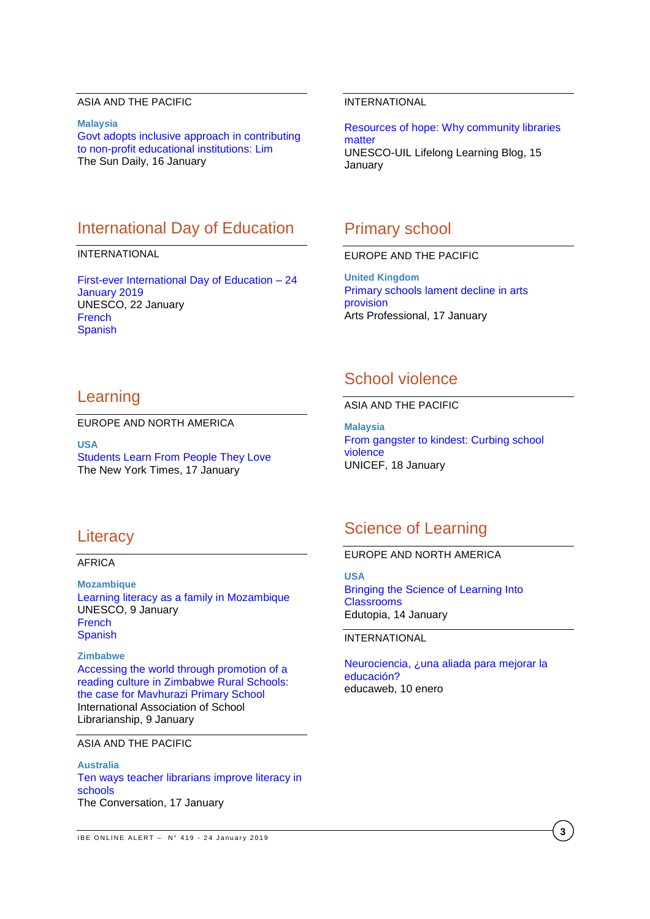### ASIA AND THE PACIFIC

**Malaysia** [Govt adopts inclusive approach in contributing](https://www.thesundaily.my/local/govt-adopts-inclusive-approach-in-contributing-to-non-profit-educational-institutions-lim-FI390142)  [to non-profit educational institutions: Lim](https://www.thesundaily.my/local/govt-adopts-inclusive-approach-in-contributing-to-non-profit-educational-institutions-lim-FI390142) The Sun Daily, 16 January

# International Day of Education

#### INTERNATIONAL

[First-ever International Day of Education –](https://en.unesco.org/news/first-ever-international-day-education-24-january-2019?mc_cid=c2e9a5da19&mc_eid=224a4feb15%20Newsletters&utm_term=0_2235d51f32-c2e9a5da19-442332789) 24 [January 2019](https://en.unesco.org/news/first-ever-international-day-education-24-january-2019?mc_cid=c2e9a5da19&mc_eid=224a4feb15%20Newsletters&utm_term=0_2235d51f32-c2e9a5da19-442332789) UNESCO, 22 January [French](https://fr.unesco.org/news/premiere-journee-internationale-leducation-24-janvier-2019) **[Spanish](https://es.unesco.org/news/primer-dia-internacional-educacion-24-enero-2019)** 

### INTERNATIONAL

[Resources of hope: Why community libraries](http://thelifelonglearningblog.uil.unesco.org/2019/01/15/resources-of-hope-why-community-libraries-matter/)  [matter](http://thelifelonglearningblog.uil.unesco.org/2019/01/15/resources-of-hope-why-community-libraries-matter/) UNESCO-UIL Lifelong Learning Blog, 15 **January** 

## Primary school

### EUROPE AND THE PACIFIC

**United Kingdom** [Primary schools lament decline in arts](https://www.artsprofessional.co.uk/news/primary-schools-lament-decline-arts-provision)  [provision](https://www.artsprofessional.co.uk/news/primary-schools-lament-decline-arts-provision) Arts Professional, 17 January

## Learning

#### EUROPE AND NORTH AMERICA

**USA** [Students Learn From People They Love](https://www.nytimes.com/2019/01/17/opinion/learning-emotion-education.html) The New York Times, 17 January

# School violence

### ASIA AND THE PACIFIC

**Malaysia** [From gangster to kindest: Curbing school](https://blogs.unicef.org/blog/gangster-to-kindest-curbing-school-violence/)  [violence](https://blogs.unicef.org/blog/gangster-to-kindest-curbing-school-violence/) UNICEF, 18 January

### **Literacy**

#### AFRICA

**Mozambique** [Learning literacy as a family in Mozambique](https://en.unesco.org/news/learning-literacy-family-mozambique) UNESCO, 9 January [French](https://fr.unesco.org/news/apprentissage-lalphabetisation-famille-au-mozambique) **[Spanish](https://es.unesco.org/news/alfabetizacion-familia-mozambique)** 

**Zimbabwe** [Accessing the world through promotion of a](https://journals.library.ualberta.ca/slw/index.php/iasl/article/view/7136/4137)  [reading culture in Zimbabwe Rural Schools:](https://journals.library.ualberta.ca/slw/index.php/iasl/article/view/7136/4137)  [the case for Mavhurazi Primary School](https://journals.library.ualberta.ca/slw/index.php/iasl/article/view/7136/4137) International Association of School Librarianship, 9 January

#### ASIA AND THE PACIFIC

#### **Australia** [Ten ways teacher librarians improve literacy in](https://theconversation.com/ten-ways-teacher-librarians-improve-literacy-in-schools-110026)  [schools](https://theconversation.com/ten-ways-teacher-librarians-improve-literacy-in-schools-110026) The Conversation, 17 January

### Science of Learning

#### EUROPE AND NORTH AMERICA

**USA** [Bringing the Science of Learning Into](https://www.edutopia.org/article/bringing-science-learning-classrooms)  **[Classrooms](https://www.edutopia.org/article/bringing-science-learning-classrooms)** Edutopia, 14 January

#### INTERNATIONAL

[Neurociencia, ¿una aliada para mejorar la](https://www.educaweb.com/noticia/2019/01/10/neurociencia-aliada-mejorar-educacion-18676/)  [educación?](https://www.educaweb.com/noticia/2019/01/10/neurociencia-aliada-mejorar-educacion-18676/) educaweb, 10 enero